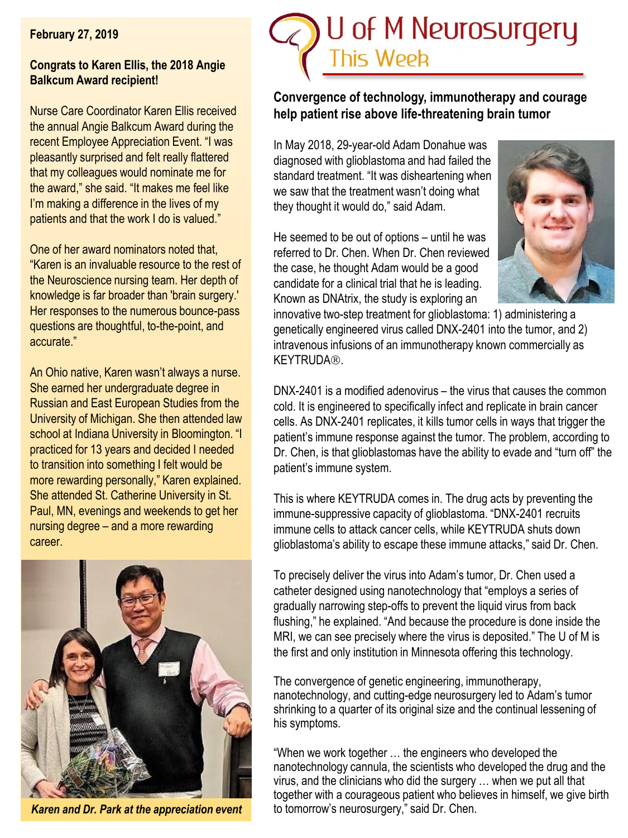#### **February 27, 2019**

#### **Congrats to Karen Ellis, the 2018 Angie Balkcum Award recipient!**

Nurse Care Coordinator Karen Ellis received the annual Angie Balkcum Award during the recent Employee Appreciation Event. "I was pleasantly surprised and felt really flattered that my colleagues would nominate me for the award," she said. "It makes me feel like I'm making a difference in the lives of my patients and that the work I do is valued."

One of her award nominators noted that, "Karen is an invaluable resource to the rest of the Neuroscience nursing team. Her depth of knowledge is far broader than 'brain surgery.' Her responses to the numerous bounce-pass questions are thoughtful, to-the-point, and accurate."

An Ohio native, Karen wasn't always a nurse. She earned her undergraduate degree in Russian and East European Studies from the University of Michigan. She then attended law school at Indiana University in Bloomington. "I practiced for 13 years and decided I needed to transition into something I felt would be more rewarding personally," Karen explained. She attended St. Catherine University in St. Paul, MN, evenings and weekends to get her nursing degree – and a more rewarding career.



*Karen and Dr. Park at the appreciation event*



# **Convergence of technology, immunotherapy and courage help patient rise above life-threatening brain tumor**

In May 2018, 29-year-old Adam Donahue was diagnosed with glioblastoma and had failed the standard treatment. "It was disheartening when we saw that the treatment wasn't doing what they thought it would do," said Adam.

He seemed to be out of options – until he was referred to Dr. Chen. When Dr. Chen reviewed the case, he thought Adam would be a good candidate for a clinical trial that he is leading. Known as DNAtrix, the study is exploring an



innovative two-step treatment for glioblastoma: 1) administering a genetically engineered virus called DNX-2401 into the tumor, and 2) intravenous infusions of an immunotherapy known commercially as **KEYTRUDA®.** 

DNX-2401 is a modified adenovirus – the virus that causes the common cold. It is engineered to specifically infect and replicate in brain cancer cells. As DNX-2401 replicates, it kills tumor cells in ways that trigger the patient's immune response against the tumor. The problem, according to Dr. Chen, is that glioblastomas have the ability to evade and "turn off" the patient's immune system.

This is where KEYTRUDA comes in. The drug acts by preventing the immune-suppressive capacity of glioblastoma. "DNX-2401 recruits immune cells to attack cancer cells, while KEYTRUDA shuts down glioblastoma's ability to escape these immune attacks," said Dr. Chen.

To precisely deliver the virus into Adam's tumor, Dr. Chen used a catheter designed using nanotechnology that "employs a series of gradually narrowing step-offs to prevent the liquid virus from back flushing," he explained. "And because the procedure is done inside the MRI, we can see precisely where the virus is deposited." The U of M is the first and only institution in Minnesota offering this technology.

The convergence of genetic engineering, immunotherapy, nanotechnology, and cutting-edge neurosurgery led to Adam's tumor shrinking to a quarter of its original size and the continual lessening of his symptoms.

"When we work together … the engineers who developed the nanotechnology cannula, the scientists who developed the drug and the virus, and the clinicians who did the surgery … when we put all that together with a courageous patient who believes in himself, we give birth to tomorrow's neurosurgery," said Dr. Chen.